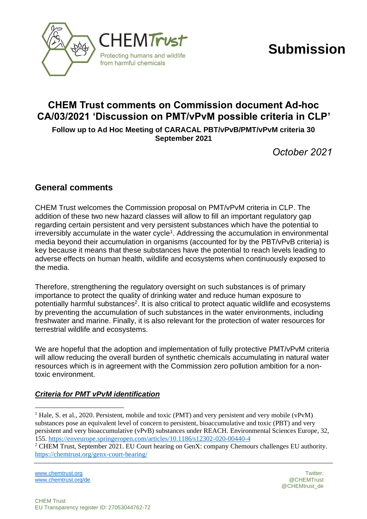



# **CHEM Trust comments on Commission document Ad-hoc CA/03/2021 'Discussion on PMT/vPvM possible criteria in CLP'**

**Follow up to Ad Hoc Meeting of CARACAL PBT/vPvB/PMT/vPvM criteria 30 September 2021**

*October 2021*

# **General comments**

CHEM Trust welcomes the Commission proposal on PMT/vPvM criteria in CLP. The addition of these two new hazard classes will allow to fill an important regulatory gap regarding certain persistent and very persistent substances which have the potential to irreversibly accumulate in the water cycle<sup>1</sup>. Addressing the accumulation in environmental media beyond their accumulation in organisms (accounted for by the PBT/vPvB criteria) is key because it means that these substances have the potential to reach levels leading to adverse effects on human health, wildlife and ecosystems when continuously exposed to the media.

Therefore, strengthening the regulatory oversight on such substances is of primary importance to protect the quality of drinking water and reduce human exposure to potentially harmful substances<sup>2</sup>. It is also critical to protect aquatic wildlife and ecosystems by preventing the accumulation of such substances in the water environments, including freshwater and marine. Finally, it is also relevant for the protection of water resources for terrestrial wildlife and ecosystems.

We are hopeful that the adoption and implementation of fully protective PMT/vPvM criteria will allow reducing the overall burden of synthetic chemicals accumulating in natural water resources which is in agreement with the Commission zero pollution ambition for a nontoxic environment.

# *Criteria for PMT vPvM identification*

[www.chemtrust.org](http://www.chemtrust.org/) Twitter: Twitter: Twitter: Twitter: Twitter: Twitter: Twitter: Twitter: Twitter: Twitter: Twitter: Twitter: Twitter: Twitter: Twitter: Twitter: Twitter: Twitter: Twitter: Twitter: Twitter: Twitter: Twitte [www.chemtrust.org/de](file:///C:/Users/kohae/Dropbox/www.chemtrust.org/de)  $\oslash$  CHEMTrust

<sup>&</sup>lt;sup>1</sup> Hale, S. et al., 2020. Persistent, mobile and toxic (PMT) and very persistent and very mobile (vPvM) substances pose an equivalent level of concern to persistent, bioaccumulative and toxic (PBT) and very persistent and very bioaccumulative (vPvB) substances under REACH. Environmental Sciences Europe, 32, 155[. https://enveurope.springeropen.com/articles/10.1186/s12302-020-00440-4](https://enveurope.springeropen.com/articles/10.1186/s12302-020-00440-4)

<sup>&</sup>lt;sup>2</sup> CHEM Trust, September 2021. EU Court hearing on GenX: company Chemours challenges EU authority. <https://chemtrust.org/genx-court-hearing/>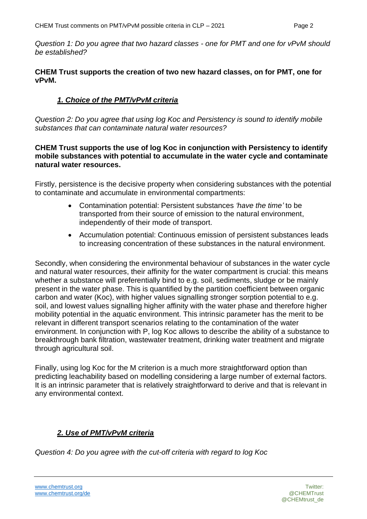*Question 1: Do you agree that two hazard classes - one for PMT and one for vPvM should be established?*

#### **CHEM Trust supports the creation of two new hazard classes, on for PMT, one for vPvM.**

## *1. Choice of the PMT/vPvM criteria*

*Question 2: Do you agree that using log Koc and Persistency is sound to identify mobile substances that can contaminate natural water resources?*

#### **CHEM Trust supports the use of log Koc in conjunction with Persistency to identify mobile substances with potential to accumulate in the water cycle and contaminate natural water resources.**

Firstly, persistence is the decisive property when considering substances with the potential to contaminate and accumulate in environmental compartments:

- Contamination potential: Persistent substances *'have the time'* to be transported from their source of emission to the natural environment, independently of their mode of transport.
- Accumulation potential: Continuous emission of persistent substances leads to increasing concentration of these substances in the natural environment.

Secondly, when considering the environmental behaviour of substances in the water cycle and natural water resources, their affinity for the water compartment is crucial: this means whether a substance will preferentially bind to e.g. soil, sediments, sludge or be mainly present in the water phase. This is quantified by the partition coefficient between organic carbon and water (Koc), with higher values signalling stronger sorption potential to e.g. soil, and lowest values signalling higher affinity with the water phase and therefore higher mobility potential in the aquatic environment. This intrinsic parameter has the merit to be relevant in different transport scenarios relating to the contamination of the water environment. In conjunction with P, log Koc allows to describe the ability of a substance to breakthrough bank filtration, wastewater treatment, drinking water treatment and migrate through agricultural soil.

Finally, using log Koc for the M criterion is a much more straightforward option than predicting leachability based on modelling considering a large number of external factors. It is an intrinsic parameter that is relatively straightforward to derive and that is relevant in any environmental context.

## *2. Use of PMT/vPvM criteria*

*Question 4: Do you agree with the cut-off criteria with regard to log Koc*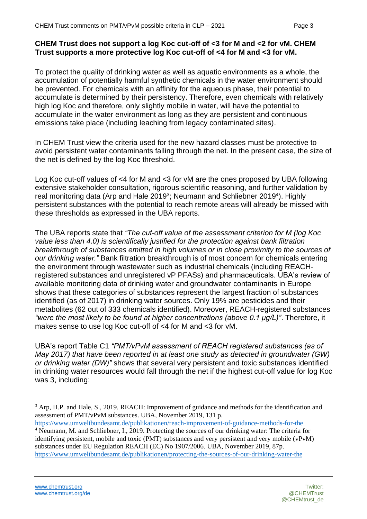#### **CHEM Trust does not support a log Koc cut-off of <3 for M and <2 for vM. CHEM Trust supports a more protective log Koc cut-off of <4 for M and <3 for vM.**

To protect the quality of drinking water as well as aquatic environments as a whole, the accumulation of potentially harmful synthetic chemicals in the water environment should be prevented. For chemicals with an affinity for the aqueous phase, their potential to accumulate is determined by their persistency. Therefore, even chemicals with relatively high log Koc and therefore, only slightly mobile in water, will have the potential to accumulate in the water environment as long as they are persistent and continuous emissions take place (including leaching from legacy contaminated sites).

In CHEM Trust view the criteria used for the new hazard classes must be protective to avoid persistent water contaminants falling through the net. In the present case, the size of the net is defined by the log Koc threshold.

Log Koc cut-off values of <4 for M and <3 for vM are the ones proposed by UBA following extensive stakeholder consultation, rigorous scientific reasoning, and further validation by real monitoring data (Arp and Hale 2019<sup>3</sup>; Neumann and Schliebner 2019<sup>4</sup>). Highly persistent substances with the potential to reach remote areas will already be missed with these thresholds as expressed in the UBA reports.

The UBA reports state that *"The cut-off value of the assessment criterion for M (log Koc value less than 4.0) is scientifically justified for the protection against bank filtration breakthrough of substances emitted in high volumes or in close proximity to the sources of our drinking water."* Bank filtration breakthrough is of most concern for chemicals entering the environment through wastewater such as industrial chemicals (including REACHregistered substances and unregistered vP PFASs) and pharmaceuticals. UBA's review of available monitoring data of drinking water and groundwater contaminants in Europe shows that these categories of substances represent the largest fraction of substances identified (as of 2017) in drinking water sources. Only 19% are pesticides and their metabolites (62 out of 333 chemicals identified). Moreover, REACH-registered substances *"were the most likely to be found at higher concentrations (above 0.1 μg/L)"*. Therefore, it makes sense to use log Koc cut-off of <4 for M and <3 for vM.

UBA's report Table C1 *"PMT/vPvM assessment of REACH registered substances (as of May 2017) that have been reported in at least one study as detected in groundwater (GW) or drinking water (DW)"* shows that several very persistent and toxic substances identified in drinking water resources would fall through the net if the highest cut-off value for log Koc was 3, including:

<sup>3</sup> Arp, H.P. and Hale, S., 2019. REACH: Improvement of guidance and methods for the identification and assessment of PMT/vPvM substances. UBA, November 2019, 131 p.

<https://www.umweltbundesamt.de/publikationen/reach-improvement-of-guidance-methods-for-the> <sup>4</sup> Neumann, M. and Schliebner, I., 2019. Protecting the sources of our drinking water: The criteria for identifying persistent, mobile and toxic (PMT) substances and very persistent and very mobile (vPvM) substances under EU Regulation REACH (EC) No 1907/2006. UBA, November 2019, 87p. <https://www.umweltbundesamt.de/publikationen/protecting-the-sources-of-our-drinking-water-the>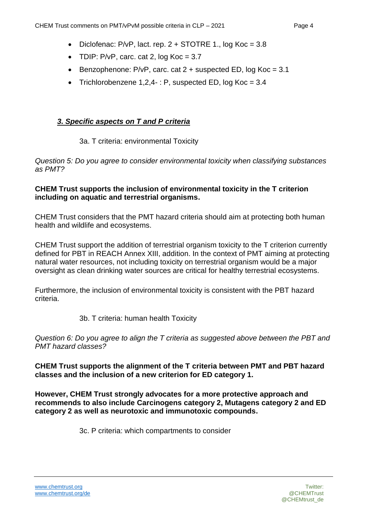- Diclofenac:  $P/VP$ , lact. rep.  $2 + STOTRE$  1., log  $Koc = 3.8$
- TDIP:  $P/VP$ , carc. cat 2, log  $Koc = 3.7$
- Benzophenone:  $P/VP$ , carc. cat  $2 +$  suspected ED, log Koc = 3.1
- Trichlorobenzene  $1,2,4$ -: P, suspected ED, log Koc =  $3.4$

# *3. Specific aspects on T and P criteria*

## 3a. T criteria: environmental Toxicity

*Question 5: Do you agree to consider environmental toxicity when classifying substances as PMT?* 

#### **CHEM Trust supports the inclusion of environmental toxicity in the T criterion including on aquatic and terrestrial organisms.**

CHEM Trust considers that the PMT hazard criteria should aim at protecting both human health and wildlife and ecosystems.

CHEM Trust support the addition of terrestrial organism toxicity to the T criterion currently defined for PBT in REACH Annex XIII, addition. In the context of PMT aiming at protecting natural water resources, not including toxicity on terrestrial organism would be a major oversight as clean drinking water sources are critical for healthy terrestrial ecosystems.

Furthermore, the inclusion of environmental toxicity is consistent with the PBT hazard criteria.

## 3b. T criteria: human health Toxicity

*Question 6: Do you agree to align the T criteria as suggested above between the PBT and PMT hazard classes?* 

**CHEM Trust supports the alignment of the T criteria between PMT and PBT hazard classes and the inclusion of a new criterion for ED category 1.** 

**However, CHEM Trust strongly advocates for a more protective approach and recommends to also include Carcinogens category 2, Mutagens category 2 and ED category 2 as well as neurotoxic and immunotoxic compounds.**

3c. P criteria: which compartments to consider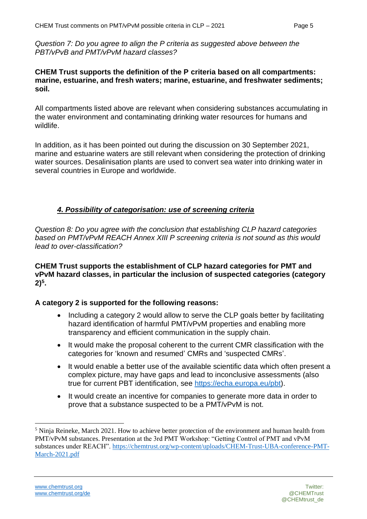*Question 7: Do you agree to align the P criteria as suggested above between the PBT/vPvB and PMT/vPvM hazard classes?* 

#### **CHEM Trust supports the definition of the P criteria based on all compartments: marine, estuarine, and fresh waters; marine, estuarine, and freshwater sediments; soil.**

All compartments listed above are relevant when considering substances accumulating in the water environment and contaminating drinking water resources for humans and wildlife.

In addition, as it has been pointed out during the discussion on 30 September 2021, marine and estuarine waters are still relevant when considering the protection of drinking water sources. Desalinisation plants are used to convert sea water into drinking water in several countries in Europe and worldwide.

#### *4. Possibility of categorisation: use of screening criteria*

*Question 8: Do you agree with the conclusion that establishing CLP hazard categories based on PMT/vPvM REACH Annex XIII P screening criteria is not sound as this would lead to over-classification?*

**CHEM Trust supports the establishment of CLP hazard categories for PMT and vPvM hazard classes, in particular the inclusion of suspected categories (category 2)<sup>5</sup> .**

#### **A category 2 is supported for the following reasons:**

- Including a category 2 would allow to serve the CLP goals better by facilitating hazard identification of harmful PMT/vPvM properties and enabling more transparency and efficient communication in the supply chain.
- It would make the proposal coherent to the current CMR classification with the categories for 'known and resumed' CMRs and 'suspected CMRs'.
- It would enable a better use of the available scientific data which often present a complex picture, may have gaps and lead to inconclusive assessments (also true for current PBT identification, see [https://echa.europa.eu/pbt\)](https://echa.europa.eu/pbt).
- It would create an incentive for companies to generate more data in order to prove that a substance suspected to be a PMT/vPvM is not.

<sup>5</sup> Ninja Reineke, March 2021. How to achieve better protection of the environment and human health from PMT/vPvM substances. Presentation at the 3rd PMT Workshop: "Getting Control of PMT and vPvM substances under REACH". [https://chemtrust.org/wp-content/uploads/CHEM-Trust-UBA-conference-PMT-](https://chemtrust.org/wp-content/uploads/CHEM-Trust-UBA-conference-PMT-March-2021.pdf)[March-2021.pdf](https://chemtrust.org/wp-content/uploads/CHEM-Trust-UBA-conference-PMT-March-2021.pdf)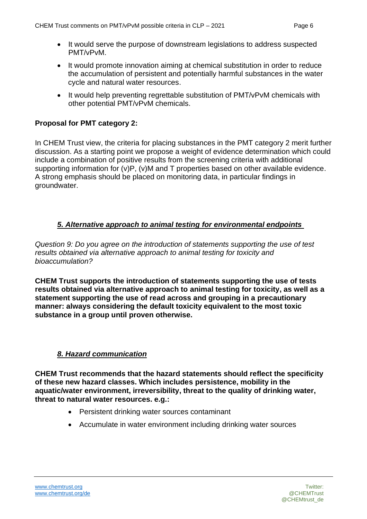- It would serve the purpose of downstream legislations to address suspected PMT/vPvM.
- It would promote innovation aiming at chemical substitution in order to reduce the accumulation of persistent and potentially harmful substances in the water cycle and natural water resources.
- It would help preventing regrettable substitution of PMT/vPvM chemicals with other potential PMT/vPvM chemicals.

## **Proposal for PMT category 2:**

In CHEM Trust view, the criteria for placing substances in the PMT category 2 merit further discussion. As a starting point we propose a weight of evidence determination which could include a combination of positive results from the screening criteria with additional supporting information for (v)P, (v)M and T properties based on other available evidence. A strong emphasis should be placed on monitoring data, in particular findings in groundwater.

## *5. Alternative approach to animal testing for environmental endpoints*

*Question 9: Do you agree on the introduction of statements supporting the use of test results obtained via alternative approach to animal testing for toxicity and bioaccumulation?* 

**CHEM Trust supports the introduction of statements supporting the use of tests results obtained via alternative approach to animal testing for toxicity, as well as a statement supporting the use of read across and grouping in a precautionary manner: always considering the default toxicity equivalent to the most toxic substance in a group until proven otherwise.**

## *8. Hazard communication*

**CHEM Trust recommends that the hazard statements should reflect the specificity of these new hazard classes. Which includes persistence, mobility in the aquatic/water environment, irreversibility, threat to the quality of drinking water, threat to natural water resources. e.g.:**

- Persistent drinking water sources contaminant
- Accumulate in water environment including drinking water sources